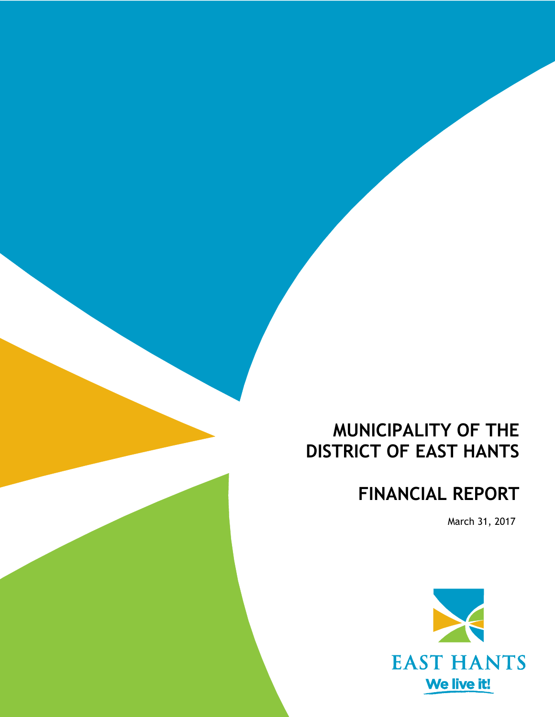# **MUNICIPALITY OF THE DISTRICT OF EAST HANTS**

# **FINANCIAL REPORT**

March 31, 2017

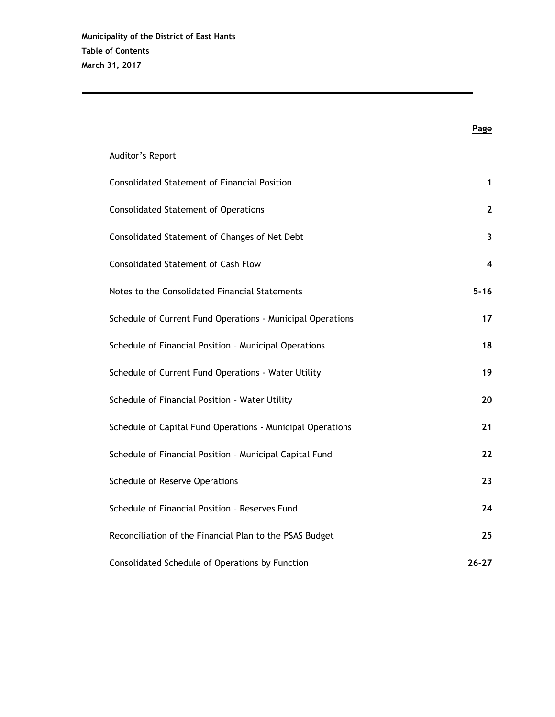|                                                            | Page         |
|------------------------------------------------------------|--------------|
| Auditor's Report                                           |              |
| <b>Consolidated Statement of Financial Position</b>        | 1            |
| <b>Consolidated Statement of Operations</b>                | $\mathbf{2}$ |
| Consolidated Statement of Changes of Net Debt              | 3            |
| <b>Consolidated Statement of Cash Flow</b>                 | 4            |
| Notes to the Consolidated Financial Statements             | $5 - 16$     |
| Schedule of Current Fund Operations - Municipal Operations | 17           |
| Schedule of Financial Position - Municipal Operations      | 18           |
| Schedule of Current Fund Operations - Water Utility        | 19           |
| Schedule of Financial Position - Water Utility             | 20           |
| Schedule of Capital Fund Operations - Municipal Operations | 21           |
| Schedule of Financial Position - Municipal Capital Fund    | 22           |
| Schedule of Reserve Operations                             | 23           |
| Schedule of Financial Position - Reserves Fund             | 24           |
| Reconciliation of the Financial Plan to the PSAS Budget    | 25           |
| Consolidated Schedule of Operations by Function            | $26 - 27$    |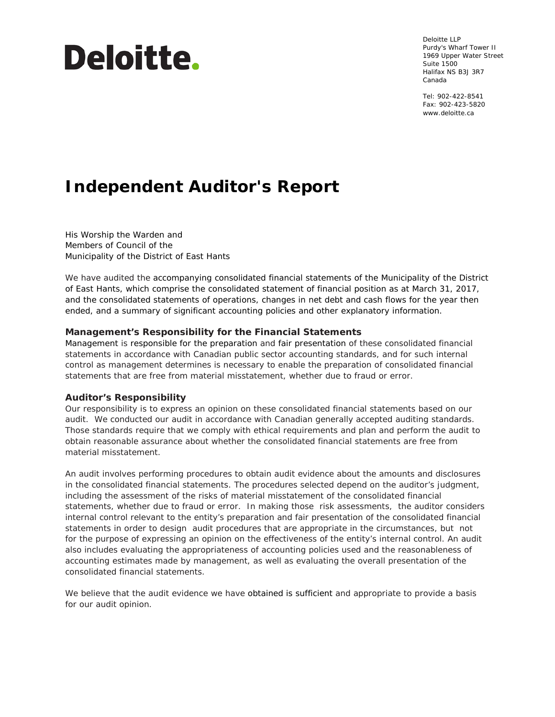# **Deloitte.**

Deloitte LLP Purdy's Wharf Tower II 1969 Upper Water Street Suite 1500 Halifax NS B3J 3R7 Canada

Tel: 902-422-8541 Fax: 902-423-5820 www.deloitte.ca

# **Independent Auditor's Report**

His Worship the Warden and Members of Council of the Municipality of the District of East Hants

We have audited the accompanying consolidated financial statements of the Municipality of the District of East Hants, which comprise the consolidated statement of financial position as at March 31, 2017, and the consolidated statements of operations, changes in net debt and cash flows for the year then ended, and a summary of significant accounting policies and other explanatory information.

#### **Management's Responsibility for the Financial Statements**

Management is responsible for the preparation and fair presentation of these consolidated financial statements in accordance with Canadian public sector accounting standards, and for such internal control as management determines is necessary to enable the preparation of consolidated financial statements that are free from material misstatement, whether due to fraud or error.

#### **Auditor's Responsibility**

Our responsibility is to express an opinion on these consolidated financial statements based on our audit. We conducted our audit in accordance with Canadian generally accepted auditing standards. Those standards require that we comply with ethical requirements and plan and perform the audit to obtain reasonable assurance about whether the consolidated financial statements are free from material misstatement.

An audit involves performing procedures to obtain audit evidence about the amounts and disclosures in the consolidated financial statements. The procedures selected depend on the auditor's judgment, including the assessment of the risks of material misstatement of the consolidated financial statements, whether due to fraud or error. In making those risk assessments, the auditor considers internal control relevant to the entity's preparation and fair presentation of the consolidated financial statements in order to design audit procedures that are appropriate in the circumstances, but not for the purpose of expressing an opinion on the effectiveness of the entity's internal control. An audit also includes evaluating the appropriateness of accounting policies used and the reasonableness of accounting estimates made by management, as well as evaluating the overall presentation of the consolidated financial statements.

We believe that the audit evidence we have obtained is sufficient and appropriate to provide a basis for our audit opinion.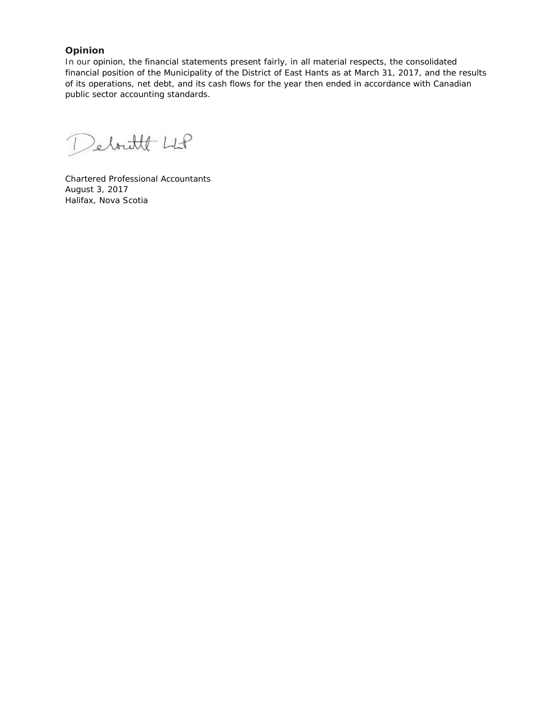#### **Opinion**

In our opinion, the financial statements present fairly, in all material respects, the consolidated financial position of the Municipality of the District of East Hants as at March 31, 2017, and the results of its operations, net debt, and its cash flows for the year then ended in accordance with Canadian public sector accounting standards.

Deboutter LLP

Chartered Professional Accountants August 3, 2017 Halifax, Nova Scotia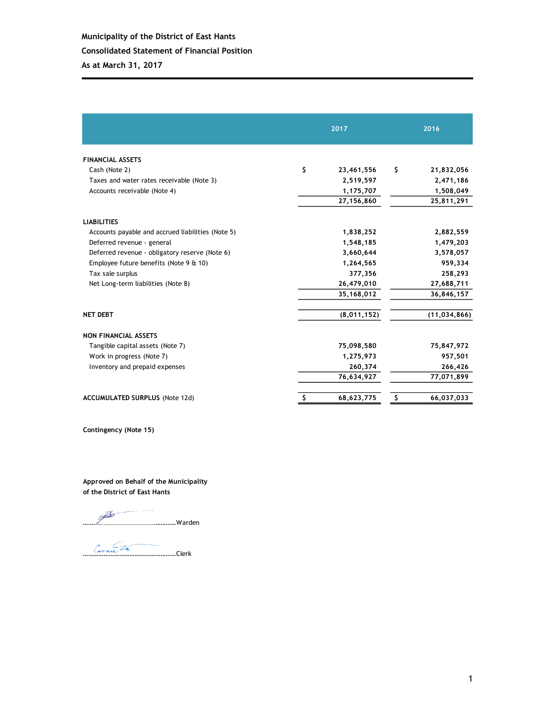|                                                   | 2017             | 2016             |  |  |
|---------------------------------------------------|------------------|------------------|--|--|
| <b>FINANCIAL ASSETS</b>                           |                  |                  |  |  |
| Cash (Note 2)                                     | \$<br>23,461,556 | \$<br>21,832,056 |  |  |
| Taxes and water rates receivable (Note 3)         | 2,519,597        | 2,471,186        |  |  |
| Accounts receivable (Note 4)                      | 1,175,707        | 1,508,049        |  |  |
|                                                   | 27,156,860       | 25,811,291       |  |  |
| <b>LIABILITIES</b>                                |                  |                  |  |  |
| Accounts payable and accrued liabilities (Note 5) | 1,838,252        | 2,882,559        |  |  |
| Deferred revenue - general                        | 1,548,185        | 1,479,203        |  |  |
| Deferred revenue - obligatory reserve (Note 6)    | 3,660,644        | 3,578,057        |  |  |
| Employee future benefits (Note 9 & 10)            | 1,264,565        | 959,334          |  |  |
| Tax sale surplus                                  | 377,356          | 258,293          |  |  |
| Net Long-term liabilities (Note 8)                | 26,479,010       | 27,688,711       |  |  |
|                                                   | 35,168,012       | 36,846,157       |  |  |
| <b>NET DEBT</b>                                   | (8,011,152)      | (11, 034, 866)   |  |  |
| <b>NON FINANCIAL ASSETS</b>                       |                  |                  |  |  |
| Tangible capital assets (Note 7)                  | 75,098,580       | 75,847,972       |  |  |
| Work in progress (Note 7)                         | 1,275,973        | 957,501          |  |  |
| Inventory and prepaid expenses                    | 260,374          | 266,426          |  |  |
|                                                   | 76,634,927       | 77,071,899       |  |  |
| <b>ACCUMULATED SURPLUS (Note 12d)</b>             | 68,623,775<br>S  | \$<br>66,037,033 |  |  |

**Contingency (Note 15)**

**Approved on Behalf of the Municipality of the District of East Hants**

………………………………………………Warden

………………………………………………Clerk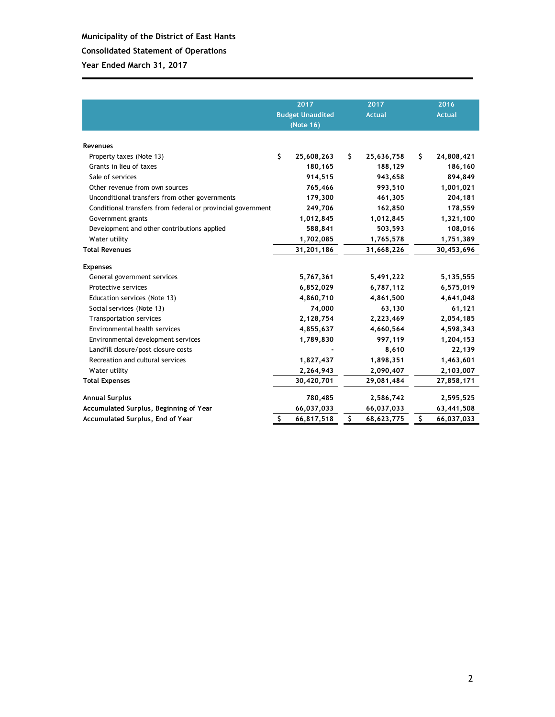# **Consolidated Statement of Operations**

|                                                             |                         | 2017       |    | 2017          |    | 2016          |
|-------------------------------------------------------------|-------------------------|------------|----|---------------|----|---------------|
|                                                             | <b>Budget Unaudited</b> |            |    | <b>Actual</b> |    | <b>Actual</b> |
|                                                             |                         | (Note 16)  |    |               |    |               |
|                                                             |                         |            |    |               |    |               |
| Revenues                                                    |                         |            |    |               |    |               |
| Property taxes (Note 13)                                    | \$                      | 25,608,263 | S. | 25,636,758    | Ŝ. | 24,808,421    |
| Grants in lieu of taxes                                     |                         | 180,165    |    | 188,129       |    | 186,160       |
| Sale of services                                            |                         | 914,515    |    | 943,658       |    | 894,849       |
| Other revenue from own sources                              |                         | 765,466    |    | 993,510       |    | 1,001,021     |
| Unconditional transfers from other governments              |                         | 179,300    |    | 461,305       |    | 204,181       |
| Conditional transfers from federal or provincial government |                         | 249,706    |    | 162,850       |    | 178,559       |
| Government grants                                           |                         | 1,012,845  |    | 1,012,845     |    | 1,321,100     |
| Development and other contributions applied                 |                         | 588,841    |    | 503,593       |    | 108,016       |
| Water utility                                               |                         | 1,702,085  |    | 1,765,578     |    | 1,751,389     |
| <b>Total Revenues</b>                                       |                         | 31,201,186 |    | 31,668,226    |    | 30,453,696    |
| <b>Expenses</b>                                             |                         |            |    |               |    |               |
| General government services                                 |                         | 5,767,361  |    | 5,491,222     |    | 5, 135, 555   |
| Protective services                                         |                         | 6,852,029  |    | 6,787,112     |    | 6,575,019     |
| Education services (Note 13)                                |                         | 4,860,710  |    | 4,861,500     |    | 4,641,048     |
| Social services (Note 13)                                   |                         | 74,000     |    | 63,130        |    | 61,121        |
| <b>Transportation services</b>                              |                         | 2,128,754  |    | 2,223,469     |    | 2,054,185     |
| Environmental health services                               |                         | 4,855,637  |    | 4,660,564     |    | 4,598,343     |
| Environmental development services                          |                         | 1,789,830  |    | 997,119       |    | 1,204,153     |
| Landfill closure/post closure costs                         |                         |            |    | 8,610         |    | 22,139        |
| Recreation and cultural services                            |                         | 1,827,437  |    | 1,898,351     |    | 1,463,601     |
| Water utility                                               |                         | 2,264,943  |    | 2,090,407     |    | 2,103,007     |
| <b>Total Expenses</b>                                       |                         | 30,420,701 |    | 29,081,484    |    | 27,858,171    |
| <b>Annual Surplus</b>                                       |                         | 780,485    |    | 2,586,742     |    | 2,595,525     |
| Accumulated Surplus, Beginning of Year                      |                         | 66,037,033 |    | 66,037,033    |    | 63,441,508    |
| Accumulated Surplus, End of Year                            | \$                      | 66,817,518 | \$ | 68,623,775    | \$ | 66,037,033    |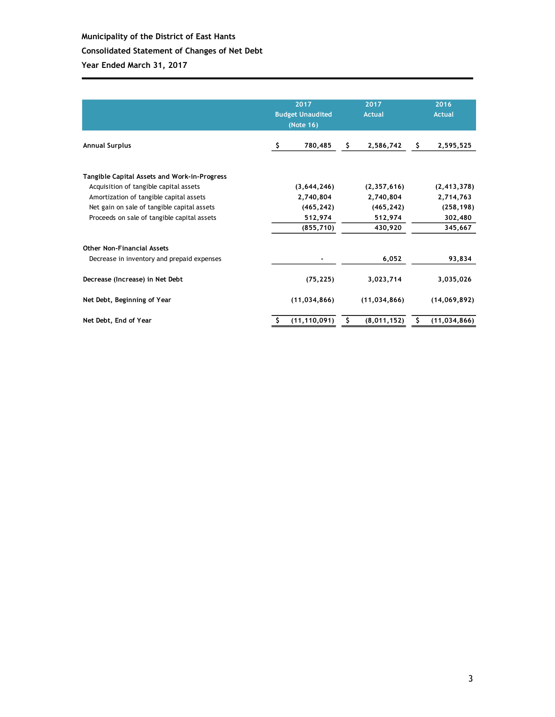# **Municipality of the District of East Hants Consolidated Statement of Changes of Net Debt Year Ended March 31, 2017**

|                                              | 2017                    | 2017              | 2016                 |
|----------------------------------------------|-------------------------|-------------------|----------------------|
|                                              | <b>Budget Unaudited</b> | <b>Actual</b>     | <b>Actual</b>        |
|                                              | (Note 16)               |                   |                      |
|                                              |                         |                   |                      |
| <b>Annual Surplus</b>                        | 780,485                 | \$<br>2,586,742   | S.<br>2,595,525      |
|                                              |                         |                   |                      |
| Tangible Capital Assets and Work-in-Progress |                         |                   |                      |
| Acquisition of tangible capital assets       | (3,644,246)             | (2, 357, 616)     | (2, 413, 378)        |
| Amortization of tangible capital assets      | 2,740,804               | 2,740,804         | 2,714,763            |
| Net gain on sale of tangible capital assets  | (465, 242)              | (465, 242)        | (258, 198)           |
| Proceeds on sale of tangible capital assets  | 512,974                 | 512,974           | 302,480              |
|                                              | (855, 710)              | 430,920           | 345,667              |
| <b>Other Non-Financial Assets</b>            |                         |                   |                      |
| Decrease in inventory and prepaid expenses   |                         | 6,052             | 93,834               |
| Decrease (Increase) in Net Debt              | (75, 225)               | 3,023,714         | 3,035,026            |
| Net Debt, Beginning of Year                  | (11, 034, 866)          | (11, 034, 866)    | (14,069,892)         |
| Net Debt, End of Year                        | Ś<br>(11, 110, 091)     | \$<br>(8,011,152) | S.<br>(11, 034, 866) |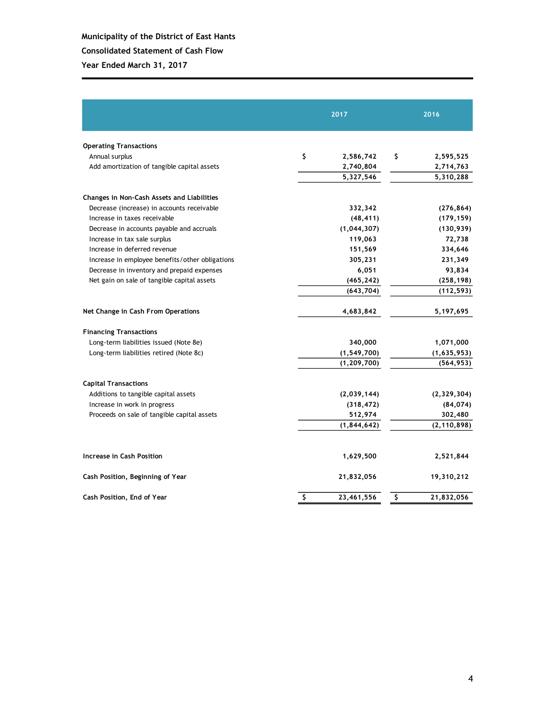# **Consolidated Statement of Cash Flow**

|                                                 | 2017             | 2016 |               |  |
|-------------------------------------------------|------------------|------|---------------|--|
| <b>Operating Transactions</b>                   |                  |      |               |  |
| Annual surplus                                  | \$<br>2,586,742  | \$   | 2,595,525     |  |
| Add amortization of tangible capital assets     | 2,740,804        |      | 2,714,763     |  |
|                                                 | 5,327,546        |      | 5,310,288     |  |
| Changes in Non-Cash Assets and Liabilities      |                  |      |               |  |
| Decrease (increase) in accounts receivable      | 332,342          |      | (276, 864)    |  |
| Increase in taxes receivable                    | (48, 411)        |      | (179, 159)    |  |
| Decrease in accounts payable and accruals       | (1,044,307)      |      | (130, 939)    |  |
| Increase in tax sale surplus                    | 119,063          |      | 72,738        |  |
| Increase in deferred revenue                    | 151,569          |      | 334,646       |  |
| Increase in employee benefits/other obligations | 305,231          |      | 231,349       |  |
| Decrease in inventory and prepaid expenses      | 6,051            |      | 93,834        |  |
| Net gain on sale of tangible capital assets     | (465, 242)       |      | (258, 198)    |  |
|                                                 | (643, 704)       |      | (112, 593)    |  |
| Net Change in Cash From Operations              | 4,683,842        |      | 5,197,695     |  |
| <b>Financing Transactions</b>                   |                  |      |               |  |
| Long-term liabilities issued (Note 8e)          | 340,000          |      | 1,071,000     |  |
| Long-term liabilities retired (Note 8c)         | (1, 549, 700)    |      | (1,635,953)   |  |
|                                                 | (1, 209, 700)    |      | (564, 953)    |  |
| <b>Capital Transactions</b>                     |                  |      |               |  |
| Additions to tangible capital assets            | (2,039,144)      |      | (2,329,304)   |  |
| Increase in work in progress                    | (318, 472)       |      | (84, 074)     |  |
| Proceeds on sale of tangible capital assets     | 512,974          |      | 302,480       |  |
|                                                 | (1,844,642)      |      | (2, 110, 898) |  |
| Increase in Cash Position                       | 1,629,500        |      | 2,521,844     |  |
| Cash Position, Beginning of Year                | 21,832,056       |      | 19,310,212    |  |
| Cash Position, End of Year                      | \$<br>23,461,556 | \$   | 21,832,056    |  |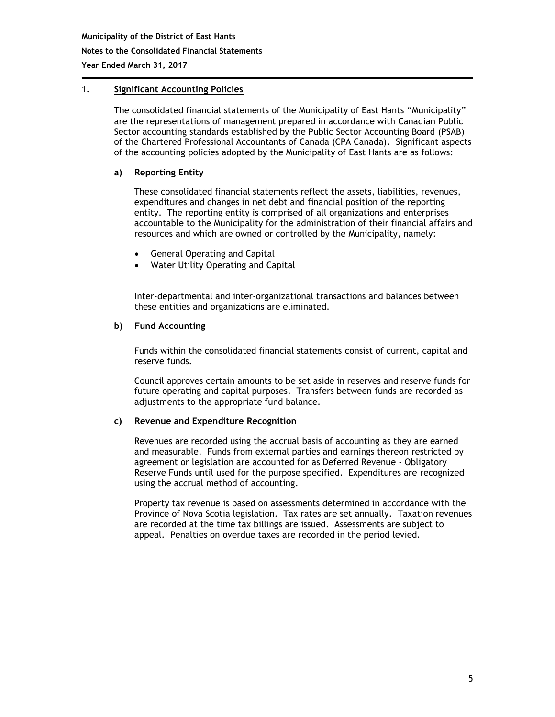#### 1. **Significant Accounting Policies**

The consolidated financial statements of the Municipality of East Hants "Municipality" are the representations of management prepared in accordance with Canadian Public Sector accounting standards established by the Public Sector Accounting Board (PSAB) of the Chartered Professional Accountants of Canada (CPA Canada). Significant aspects of the accounting policies adopted by the Municipality of East Hants are as follows:

#### **a) Reporting Entity**

These consolidated financial statements reflect the assets, liabilities, revenues, expenditures and changes in net debt and financial position of the reporting entity. The reporting entity is comprised of all organizations and enterprises accountable to the Municipality for the administration of their financial affairs and resources and which are owned or controlled by the Municipality, namely:

- General Operating and Capital
- Water Utility Operating and Capital

Inter-departmental and inter-organizational transactions and balances between these entities and organizations are eliminated.

#### **b) Fund Accounting**

Funds within the consolidated financial statements consist of current, capital and reserve funds.

Council approves certain amounts to be set aside in reserves and reserve funds for future operating and capital purposes. Transfers between funds are recorded as adjustments to the appropriate fund balance.

#### **c) Revenue and Expenditure Recognition**

Revenues are recorded using the accrual basis of accounting as they are earned and measurable. Funds from external parties and earnings thereon restricted by agreement or legislation are accounted for as Deferred Revenue - Obligatory Reserve Funds until used for the purpose specified. Expenditures are recognized using the accrual method of accounting.

Property tax revenue is based on assessments determined in accordance with the Province of Nova Scotia legislation. Tax rates are set annually. Taxation revenues are recorded at the time tax billings are issued. Assessments are subject to appeal. Penalties on overdue taxes are recorded in the period levied.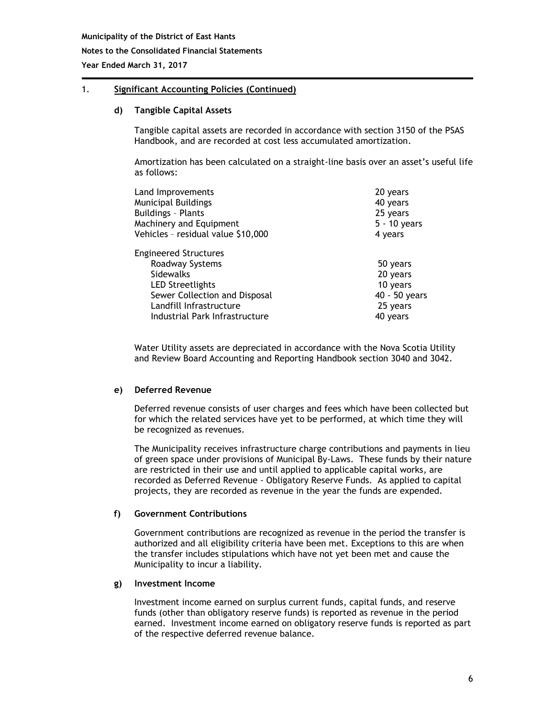#### 1. **Significant Accounting Policies (Continued)**

#### **d) Tangible Capital Assets**

Tangible capital assets are recorded in accordance with section 3150 of the PSAS Handbook, and are recorded at cost less accumulated amortization.

Amortization has been calculated on a straight-line basis over an asset's useful life as follows:

| Land Improvements                  | 20 years      |
|------------------------------------|---------------|
| Municipal Buildings                | 40 years      |
| <b>Buildings - Plants</b>          | 25 years      |
| Machinery and Equipment            | 5 - 10 years  |
| Vehicles - residual value \$10,000 | 4 years       |
| <b>Engineered Structures</b>       |               |
| Roadway Systems                    | 50 years      |
| <b>Sidewalks</b>                   | 20 years      |
| <b>LED Streetlights</b>            | 10 years      |
| Sewer Collection and Disposal      | 40 - 50 years |
| Landfill Infrastructure            | 25 years      |
| Industrial Park Infrastructure     | 40 years      |
|                                    |               |

Water Utility assets are depreciated in accordance with the Nova Scotia Utility and Review Board Accounting and Reporting Handbook section 3040 and 3042.

#### **e) Deferred Revenue**

Deferred revenue consists of user charges and fees which have been collected but for which the related services have yet to be performed, at which time they will be recognized as revenues.

The Municipality receives infrastructure charge contributions and payments in lieu of green space under provisions of Municipal By-Laws. These funds by their nature are restricted in their use and until applied to applicable capital works, are recorded as Deferred Revenue - Obligatory Reserve Funds. As applied to capital projects, they are recorded as revenue in the year the funds are expended.

#### **f) Government Contributions**

Government contributions are recognized as revenue in the period the transfer is authorized and all eligibility criteria have been met. Exceptions to this are when the transfer includes stipulations which have not yet been met and cause the Municipality to incur a liability.

#### **g) Investment Income**

Investment income earned on surplus current funds, capital funds, and reserve funds (other than obligatory reserve funds) is reported as revenue in the period earned. Investment income earned on obligatory reserve funds is reported as part of the respective deferred revenue balance.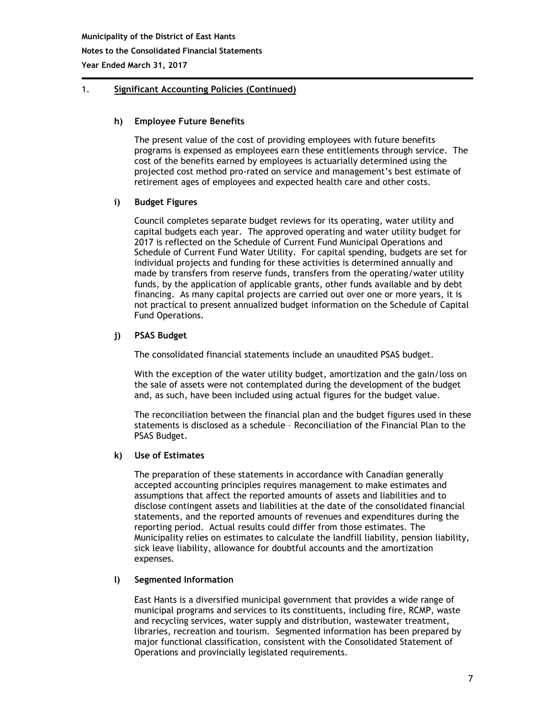#### 1. **Significant Accounting Policies (Continued)**

#### **h) Employee Future Benefits**

The present value of the cost of providing employees with future benefits programs is expensed as employees earn these entitlements through service. The cost of the benefits earned by employees is actuarially determined using the projected cost method pro-rated on service and management's best estimate of retirement ages of employees and expected health care and other costs.

#### **i) Budget Figures**

Council completes separate budget reviews for its operating, water utility and capital budgets each year. The approved operating and water utility budget for 2017 is reflected on the Schedule of Current Fund Municipal Operations and Schedule of Current Fund Water Utility. For capital spending, budgets are set for individual projects and funding for these activities is determined annually and made by transfers from reserve funds, transfers from the operating/water utility funds, by the application of applicable grants, other funds available and by debt financing. As many capital projects are carried out over one or more years, it is not practical to present annualized budget information on the Schedule of Capital Fund Operations.

#### **j) PSAS Budget**

The consolidated financial statements include an unaudited PSAS budget.

With the exception of the water utility budget, amortization and the gain/loss on the sale of assets were not contemplated during the development of the budget and, as such, have been included using actual figures for the budget value.

The reconciliation between the financial plan and the budget figures used in these statements is disclosed as a schedule – Reconciliation of the Financial Plan to the PSAS Budget.

#### **k) Use of Estimates**

The preparation of these statements in accordance with Canadian generally accepted accounting principles requires management to make estimates and assumptions that affect the reported amounts of assets and liabilities and to disclose contingent assets and liabilities at the date of the consolidated financial statements, and the reported amounts of revenues and expenditures during the reporting period. Actual results could differ from those estimates. The Municipality relies on estimates to calculate the landfill liability, pension liability, sick leave liability, allowance for doubtful accounts and the amortization expenses.

#### **l) Segmented Information**

East Hants is a diversified municipal government that provides a wide range of municipal programs and services to its constituents, including fire, RCMP, waste and recycling services, water supply and distribution, wastewater treatment, libraries, recreation and tourism. Segmented information has been prepared by major functional classification, consistent with the Consolidated Statement of Operations and provincially legislated requirements.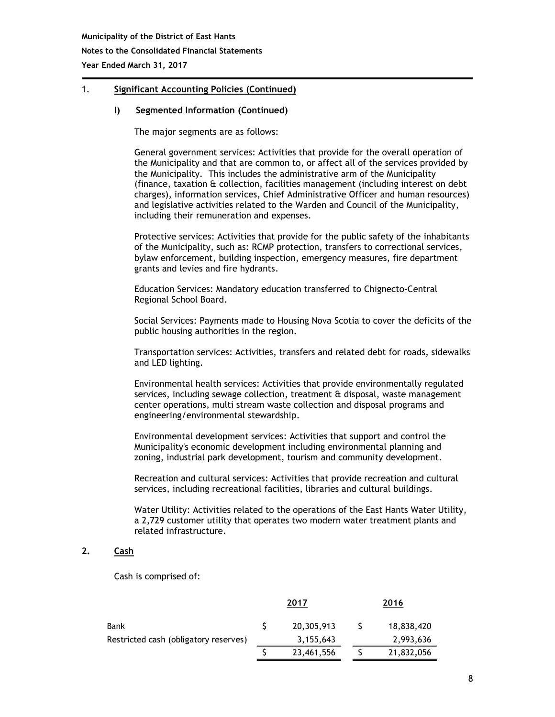#### 1. **Significant Accounting Policies (Continued)**

#### **l) Segmented Information (Continued)**

The major segments are as follows:

General government services: Activities that provide for the overall operation of the Municipality and that are common to, or affect all of the services provided by the Municipality. This includes the administrative arm of the Municipality (finance, taxation & collection, facilities management (including interest on debt charges), information services, Chief Administrative Officer and human resources) and legislative activities related to the Warden and Council of the Municipality, including their remuneration and expenses.

Protective services: Activities that provide for the public safety of the inhabitants of the Municipality, such as: RCMP protection, transfers to correctional services, bylaw enforcement, building inspection, emergency measures, fire department grants and levies and fire hydrants.

Education Services: Mandatory education transferred to Chignecto-Central Regional School Board.

Social Services: Payments made to Housing Nova Scotia to cover the deficits of the public housing authorities in the region.

Transportation services: Activities, transfers and related debt for roads, sidewalks and LED lighting.

Environmental health services: Activities that provide environmentally regulated services, including sewage collection, treatment & disposal, waste management center operations, multi stream waste collection and disposal programs and engineering/environmental stewardship.

Environmental development services: Activities that support and control the Municipality's economic development including environmental planning and zoning, industrial park development, tourism and community development.

Recreation and cultural services: Activities that provide recreation and cultural services, including recreational facilities, libraries and cultural buildings.

Water Utility: Activities related to the operations of the East Hants Water Utility, a 2,729 customer utility that operates two modern water treatment plants and related infrastructure.

#### **2. Cash**

Cash is comprised of:

| Bank                                  |  | 2017        | 2016 |            |  |
|---------------------------------------|--|-------------|------|------------|--|
|                                       |  | 20,305,913  |      | 18,838,420 |  |
| Restricted cash (obligatory reserves) |  | 3, 155, 643 |      | 2,993,636  |  |
|                                       |  | 23,461,556  |      | 21,832,056 |  |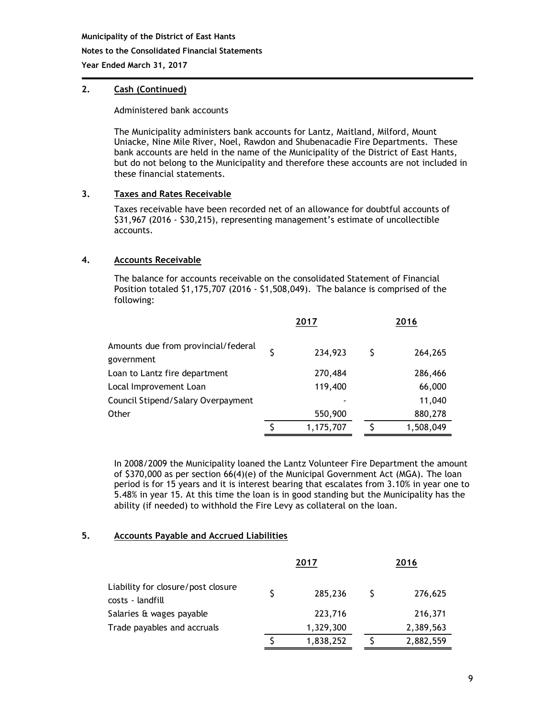#### **Notes to the Consolidated Financial Statements**

**Year Ended March 31, 2017**

#### **2. Cash (Continued)**

Administered bank accounts

The Municipality administers bank accounts for Lantz, Maitland, Milford, Mount Uniacke, Nine Mile River, Noel, Rawdon and Shubenacadie Fire Departments. These bank accounts are held in the name of the Municipality of the District of East Hants, but do not belong to the Municipality and therefore these accounts are not included in these financial statements.

#### **3. Taxes and Rates Receivable**

Taxes receivable have been recorded net of an allowance for doubtful accounts of \$31,967 (2016 - \$30,215), representing management's estimate of uncollectible accounts.

#### **4. Accounts Receivable**

The balance for accounts receivable on the consolidated Statement of Financial Position totaled \$1,175,707 (2016 - \$1,508,049). The balance is comprised of the following:

|                                                   |   | 2017      | 2016      |
|---------------------------------------------------|---|-----------|-----------|
| Amounts due from provincial/federal<br>government |   | 234,923   | 264,265   |
| Loan to Lantz fire department                     |   | 270,484   | 286,466   |
| Local Improvement Loan                            |   | 119,400   | 66,000    |
| Council Stipend/Salary Overpayment                |   |           | 11,040    |
| Other                                             |   | 550,900   | 880,278   |
|                                                   | ς | 1,175,707 | 1,508,049 |

In 2008/2009 the Municipality loaned the Lantz Volunteer Fire Department the amount of \$370,000 as per section 66(4)(e) of the Municipal Government Act (MGA). The loan period is for 15 years and it is interest bearing that escalates from 3.10% in year one to 5.48% in year 15. At this time the loan is in good standing but the Municipality has the ability (if needed) to withhold the Fire Levy as collateral on the loan.

#### **5. Accounts Payable and Accrued Liabilities**

|                                                        |   | 2017      | 2016 |           |  |
|--------------------------------------------------------|---|-----------|------|-----------|--|
| Liability for closure/post closure<br>costs - landfill | Ś | 285,236   |      | 276,625   |  |
| Salaries & wages payable                               |   | 223,716   |      | 216,371   |  |
| Trade payables and accruals                            |   | 1,329,300 |      | 2,389,563 |  |
|                                                        |   | 1,838,252 |      | 2,882,559 |  |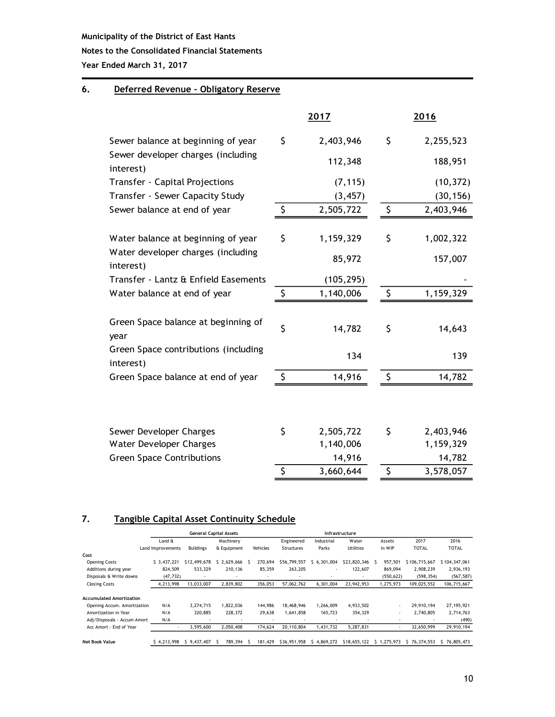# **Notes to the Consolidated Financial Statements**

**Year Ended March 31, 2017**

# **6. Deferred Revenue – Obligatory Reserve**

|                                                   |              | 2017       | 2016            |
|---------------------------------------------------|--------------|------------|-----------------|
| Sewer balance at beginning of year                | \$           | 2,403,946  | \$<br>2,255,523 |
| Sewer developer charges (including<br>interest)   |              | 112,348    | 188,951         |
| Transfer - Capital Projections                    |              | (7, 115)   | (10, 372)       |
| Transfer - Sewer Capacity Study                   |              | (3, 457)   | (30, 156)       |
| Sewer balance at end of year                      | \$           | 2,505,722  | \$<br>2,403,946 |
| Water balance at beginning of year                | \$           | 1,159,329  | \$<br>1,002,322 |
| Water developer charges (including<br>interest)   |              | 85,972     | 157,007         |
| Transfer - Lantz & Enfield Easements              |              | (105, 295) |                 |
| Water balance at end of year                      | \$           | 1,140,006  | \$<br>1,159,329 |
| Green Space balance at beginning of<br>year       | \$           | 14,782     | \$<br>14,643    |
| Green Space contributions (including<br>interest) |              | 134        | 139             |
| Green Space balance at end of year                | \$           | 14,916     | \$<br>14,782    |
|                                                   |              |            |                 |
| Sewer Developer Charges                           | \$           | 2,505,722  | \$<br>2,403,946 |
| Water Developer Charges                           |              | 1,140,006  | 1,159,329       |
| <b>Green Space Contributions</b>                  |              | 14,916     | 14,782          |
|                                                   | $\mathsf{S}$ | 3,660,644  | \$<br>3,578,057 |

# **7. Tangible Capital Asset Continuity Schedule**

|                                 |                   |                  | <b>General Capital Assets</b> |  |          | Infrastructure    |              |                  |   |             |               |               |
|---------------------------------|-------------------|------------------|-------------------------------|--|----------|-------------------|--------------|------------------|---|-------------|---------------|---------------|
|                                 | Land $\epsilon$   |                  | Machinery                     |  |          | Engineered        | Industrial   | Water            |   | Assets      | 2017          | 2016          |
|                                 | Land Improvements | <b>Buildings</b> | & Equipment                   |  | Vehicles | <b>Structures</b> | Parks        | <b>Utilities</b> |   | in WIP      | <b>TOTAL</b>  | <b>TOTAL</b>  |
| Cost                            |                   |                  |                               |  |          |                   |              |                  |   |             |               |               |
| <b>Opening Costs</b>            | \$3.437.221       | \$12,499,678     | 2,629,666 \$<br>s.            |  | 270.694  | \$56,799,557      | \$6.301.004  | \$23,820,346     | S | 957.501     | \$106,715,667 | \$104,347,061 |
| Additions during year           | 824,509           | 533.329          | 210.136                       |  | 85,359   | 263.205           | $\mathbf{r}$ | 122.607          |   | 869.094     | 2,908,239     | 2,936,193     |
| Disposals & Write downs         | (47, 732)         |                  |                               |  |          |                   |              |                  |   | (550, 622)  | (598, 354)    | (567, 587)    |
| <b>Closing Costs</b>            | 4,213,998         | 13,033,007       | 2,839,802                     |  | 356,053  | 57,062,762        | 6,301,004    | 23,942,953       |   | 1,275,973   | 109,025,552   | 106,715,667   |
| <b>Accumulated Amortization</b> |                   |                  |                               |  |          |                   |              |                  |   |             |               |               |
| Opening Accum. Amortization     | N/A               | 3.274.715        | 1.822.036                     |  | 144,986  | 18,468,946        | 1.266.009    | 4,933,502        |   | ۰.          | 29.910.194    | 27, 195, 921  |
| Amortization in Year            | N/A               | 320,885          | 228,372                       |  | 29,638   | 1,641,858         | 165,723      | 354,329          |   | ۰.          | 2.740.805     | 2,714,763     |
| Adj/Disposals - Accum Amort     | N/A               | ٠                |                               |  |          |                   |              |                  |   |             |               | (490)         |
| Acc Amort - End of Year         | ٠                 | 3,595,600        | 2,050,408                     |  | 174,624  | 20.110.804        | 1,431,732    | 5,287,831        |   |             | 32,650,999    | 29,910,194    |
| <b>Net Book Value</b>           | \$4.213.998       | \$9.437.407      | 789.394                       |  | 181.429  | \$36,951,958      | 4.869.272    | \$18,655,122     |   | \$1,275,973 | \$76,374,553  | \$76,805,473  |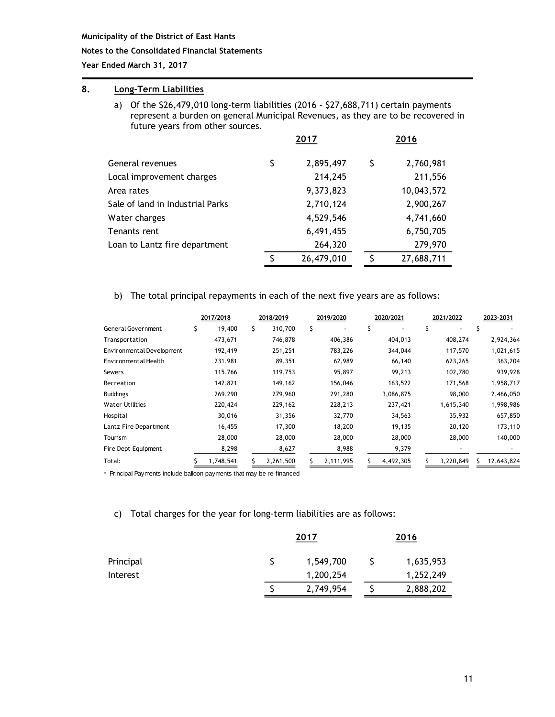#### **Notes to the Consolidated Financial Statements**

**Year Ended March 31, 2017**

### **8. Long-Term Liabilities**

a) Of the \$26,479,010 long-term liabilities (2016 - \$27,688,711) certain payments represent a burden on general Municipal Revenues, as they are to be recovered in future years from other sources.

|                                  |     | 2017       |   | 2016       |  |
|----------------------------------|-----|------------|---|------------|--|
| General revenues                 | \$. | 2,895,497  | S | 2,760,981  |  |
| Local improvement charges        |     | 214,245    |   | 211,556    |  |
| Area rates                       |     | 9,373,823  |   | 10,043,572 |  |
| Sale of land in Industrial Parks |     | 2,710,124  |   | 2,900,267  |  |
| Water charges                    |     | 4,529,546  |   | 4,741,660  |  |
| Tenants rent                     |     | 6,491,455  |   | 6,750,705  |  |
| Loan to Lantz fire department    |     | 264,320    |   | 279,970    |  |
|                                  |     | 26,479,010 |   | 27,688,711 |  |

#### b) The total principal repayments in each of the next five years are as follows:

|                           | 2017/2018    |    | 2018/2019 |   | 2019/2020 |   | 2020/2021 |   | 2021/2022 |   | 2023-2031  |
|---------------------------|--------------|----|-----------|---|-----------|---|-----------|---|-----------|---|------------|
| General Government        | \$<br>19,400 | S. | 310,700   | S |           | S |           | s |           | č |            |
| Transportation            | 473,671      |    | 746,878   |   | 406,386   |   | 404,013   |   | 408,274   |   | 2,924,364  |
| Environmental Development | 192,419      |    | 251,251   |   | 783,226   |   | 344,044   |   | 117,570   |   | 1,021,615  |
| Environmental Health      | 231,981      |    | 89,351    |   | 62,989    |   | 66,140    |   | 623,265   |   | 363,204    |
| Sewers                    | 115,766      |    | 119,753   |   | 95,897    |   | 99.213    |   | 102,780   |   | 939,928    |
| Recreation                | 142,821      |    | 149,162   |   | 156,046   |   | 163,522   |   | 171,568   |   | 1,958,717  |
| <b>Buildings</b>          | 269,290      |    | 279,960   |   | 291,280   |   | 3,086,875 |   | 98,000    |   | 2,466,050  |
| <b>Water Utilities</b>    | 220,424      |    | 229,162   |   | 228,213   |   | 237,421   |   | 1,615,340 |   | 1,998,986  |
| Hospital                  | 30,016       |    | 31,356    |   | 32,770    |   | 34,563    |   | 35,932    |   | 657,850    |
| Lantz Fire Department     | 16,455       |    | 17,300    |   | 18,200    |   | 19,135    |   | 20,120    |   | 173,110    |
| Tourism                   | 28,000       |    | 28,000    |   | 28,000    |   | 28,000    |   | 28,000    |   | 140,000    |
| Fire Dept Equipment       | 8,298        |    | 8,627     |   | 8,988     |   | 9,379     |   |           |   |            |
| Total:                    | 1,748,541    |    | 2,261,500 |   | 2,111,995 |   | 4,492,305 |   | 3,220,849 |   | 12,643,824 |

\* Principal Payments include balloon payments that may be re-financed

c) Total charges for the year for long-term liabilities are as follows:

|           | 2017      |  |           |
|-----------|-----------|--|-----------|
| Principal | 1,549,700 |  | 1,635,953 |
| Interest  | 1,200,254 |  | 1,252,249 |
|           | 2,749,954 |  | 2,888,202 |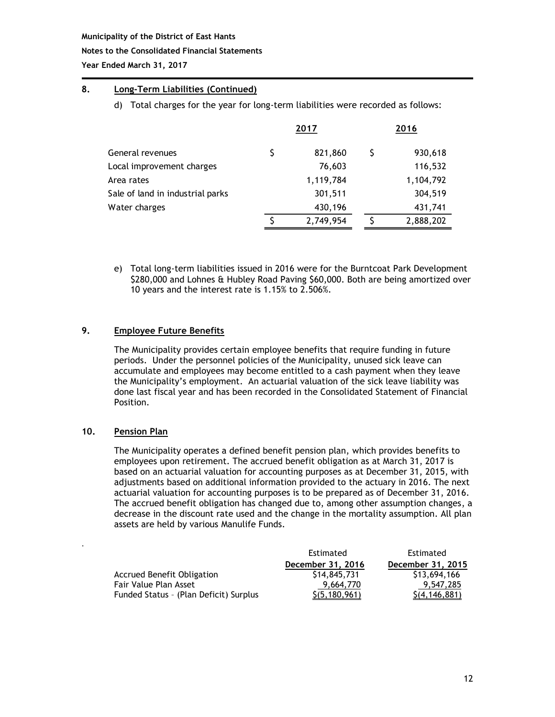#### **Notes to the Consolidated Financial Statements**

**Year Ended March 31, 2017**

#### **8. Long-Term Liabilities (Continued)**

#### d) Total charges for the year for long-term liabilities were recorded as follows:

|                                  | 2017 |           |  | 2016      |  |  |
|----------------------------------|------|-----------|--|-----------|--|--|
| General revenues                 | S    | 821,860   |  | 930,618   |  |  |
| Local improvement charges        |      | 76,603    |  | 116,532   |  |  |
| Area rates                       |      | 1,119,784 |  | 1,104,792 |  |  |
| Sale of land in industrial parks |      | 301,511   |  | 304,519   |  |  |
| Water charges                    |      | 430,196   |  | 431,741   |  |  |
|                                  |      | 2,749,954 |  | 2,888,202 |  |  |

e) Total long-term liabilities issued in 2016 were for the Burntcoat Park Development \$280,000 and Lohnes & Hubley Road Paving \$60,000. Both are being amortized over 10 years and the interest rate is 1.15% to 2.506%.

#### **9. Employee Future Benefits**

The Municipality provides certain employee benefits that require funding in future periods. Under the personnel policies of the Municipality, unused sick leave can accumulate and employees may become entitled to a cash payment when they leave the Municipality's employment. An actuarial valuation of the sick leave liability was done last fiscal year and has been recorded in the Consolidated Statement of Financial Position.

#### **10. Pension Plan**

.

The Municipality operates a defined benefit pension plan, which provides benefits to employees upon retirement. The accrued benefit obligation as at March 31, 2017 is based on an actuarial valuation for accounting purposes as at December 31, 2015, with adjustments based on additional information provided to the actuary in 2016. The next actuarial valuation for accounting purposes is to be prepared as of December 31, 2016. The accrued benefit obligation has changed due to, among other assumption changes, a decrease in the discount rate used and the change in the mortality assumption. All plan assets are held by various Manulife Funds.

|                                        | Estimated         | Estimated         |
|----------------------------------------|-------------------|-------------------|
|                                        | December 31, 2016 | December 31, 2015 |
| <b>Accrued Benefit Obligation</b>      | \$14,845,731      | \$13,694,166      |
| Fair Value Plan Asset                  | 9.664.770         | 9,547,285         |
| Funded Status - (Plan Deficit) Surplus | S(5, 180, 961)    | 5(4, 146, 881)    |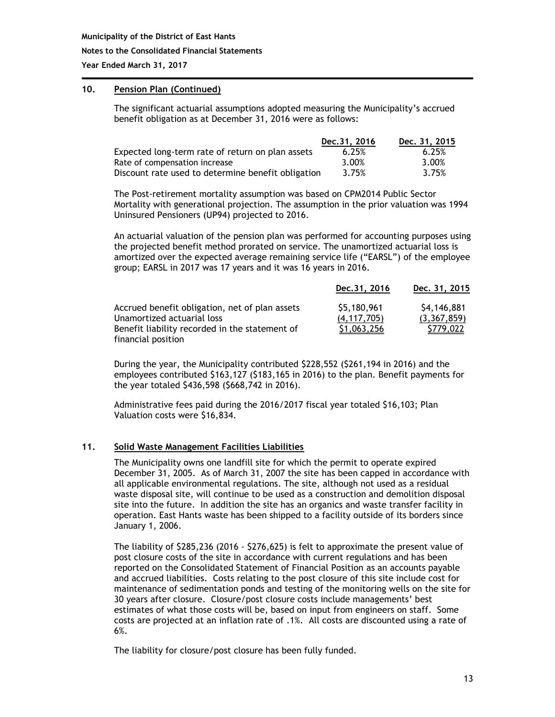#### **Notes to the Consolidated Financial Statements**

**Year Ended March 31, 2017**

#### **10. Pension Plan (Continued)**

The significant actuarial assumptions adopted measuring the Municipality's accrued benefit obligation as at December 31, 2016 were as follows:

|                                                    | Dec.31.2016 | Dec. 31, 2015 |
|----------------------------------------------------|-------------|---------------|
| Expected long-term rate of return on plan assets   | 6.25%       | 6.25%         |
| Rate of compensation increase                      | 3.00%       | 3.00%         |
| Discount rate used to determine benefit obligation | 3.75%       | 3.75%         |

The Post-retirement mortality assumption was based on CPM2014 Public Sector Mortality with generational projection. The assumption in the prior valuation was 1994 Uninsured Pensioners (UP94) projected to 2016.

An actuarial valuation of the pension plan was performed for accounting purposes using the projected benefit method prorated on service. The unamortized actuarial loss is amortized over the expected average remaining service life ("EARSL") of the employee group; EARSL in 2017 was 17 years and it was 16 years in 2016.

|                                                | Dec. 31, 2016 | Dec. 31, 2015 |
|------------------------------------------------|---------------|---------------|
| Accrued benefit obligation, net of plan assets | \$5,180,961   | \$4,146,881   |
| Unamortized actuarial loss                     | (4.117.705)   | (3.367.859)   |
| Benefit liability recorded in the statement of | \$1,063,256   | \$779,022     |
| financial position                             |               |               |

During the year, the Municipality contributed \$228,552 (\$261,194 in 2016) and the employees contributed \$163,127 (\$183,165 in 2016) to the plan. Benefit payments for the year totaled \$436,598 (\$668,742 in 2016).

Administrative fees paid during the 2016/2017 fiscal year totaled \$16,103; Plan Valuation costs were \$16,834.

#### **11. Solid Waste Management Facilities Liabilities**

The Municipality owns one landfill site for which the permit to operate expired December 31, 2005. As of March 31, 2007 the site has been capped in accordance with all applicable environmental regulations. The site, although not used as a residual waste disposal site, will continue to be used as a construction and demolition disposal site into the future. In addition the site has an organics and waste transfer facility in operation. East Hants waste has been shipped to a facility outside of its borders since January 1, 2006.

The liability of \$285,236 (2016 - \$276,625) is felt to approximate the present value of post closure costs of the site in accordance with current regulations and has been reported on the Consolidated Statement of Financial Position as an accounts payable and accrued liabilities. Costs relating to the post closure of this site include cost for maintenance of sedimentation ponds and testing of the monitoring wells on the site for 30 years after closure. Closure/post closure costs include managements' best estimates of what those costs will be, based on input from engineers on staff. Some costs are projected at an inflation rate of .1%. All costs are discounted using a rate of 6%.

The liability for closure/post closure has been fully funded.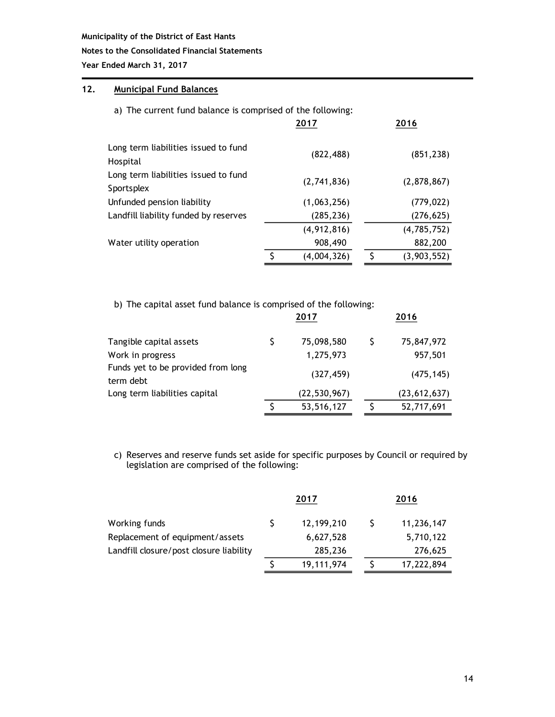#### **Notes to the Consolidated Financial Statements**

**Year Ended March 31, 2017**

#### **12. Municipal Fund Balances**

#### a) The current fund balance is comprised of the following:

|                                                    | 2017          | 2016        |
|----------------------------------------------------|---------------|-------------|
| Long term liabilities issued to fund<br>Hospital   | (822, 488)    | (851, 238)  |
| Long term liabilities issued to fund<br>Sportsplex | (2,741,836)   | (2,878,867) |
| Unfunded pension liability                         | (1,063,256)   | (779, 022)  |
| Landfill liability funded by reserves              | (285,236)     | (276, 625)  |
|                                                    | (4, 912, 816) | (4,785,752) |
| Water utility operation                            | 908,490       | 882,200     |
|                                                    | (4,004,326)   | (3,903,552) |

b) The capital asset fund balance is comprised of the following:

|                                                 | 2017           | 2016           |
|-------------------------------------------------|----------------|----------------|
| Tangible capital assets                         | 75,098,580     | 75,847,972     |
| Work in progress                                | 1,275,973      | 957,501        |
| Funds yet to be provided from long<br>term debt | (327, 459)     | (475, 145)     |
| Long term liabilities capital                   | (22, 530, 967) | (23, 612, 637) |
|                                                 | 53,516,127     | 52,717,691     |

c) Reserves and reserve funds set aside for specific purposes by Council or required by legislation are comprised of the following:

|                                         |  | 2017       | 2016       |  |  |
|-----------------------------------------|--|------------|------------|--|--|
| Working funds                           |  | 12,199,210 | 11,236,147 |  |  |
| Replacement of equipment/assets         |  | 6,627,528  | 5,710,122  |  |  |
| Landfill closure/post closure liability |  | 285,236    | 276,625    |  |  |
|                                         |  | 19,111,974 | 17,222,894 |  |  |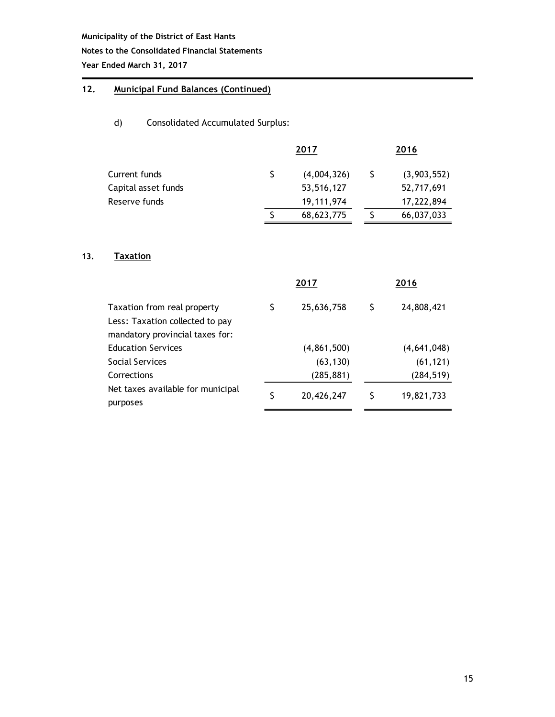#### **Notes to the Consolidated Financial Statements**

**Year Ended March 31, 2017**

# **12. Municipal Fund Balances (Continued)**

# d) Consolidated Accumulated Surplus:

|                     | 2017 |             |  | 2016        |  |  |
|---------------------|------|-------------|--|-------------|--|--|
| Current funds       |      | (4,004,326) |  | (3,903,552) |  |  |
| Capital asset funds |      | 53,516,127  |  | 52,717,691  |  |  |
| Reserve funds       |      | 19,111,974  |  | 17,222,894  |  |  |
|                     |      | 68,623,775  |  | 66,037,033  |  |  |

# **13. Taxation**

|                                                                                                   |    | 2017          | 2016 |             |  |
|---------------------------------------------------------------------------------------------------|----|---------------|------|-------------|--|
| Taxation from real property<br>Less: Taxation collected to pay<br>mandatory provincial taxes for: | S  | 25,636,758    | S    | 24,808,421  |  |
| <b>Education Services</b>                                                                         |    | (4, 861, 500) |      | (4,641,048) |  |
| Social Services                                                                                   |    | (63, 130)     |      | (61, 121)   |  |
| Corrections                                                                                       |    | (285, 881)    |      | (284, 519)  |  |
| Net taxes available for municipal<br>purposes                                                     | \$ | 20,426,247    | S    | 19,821,733  |  |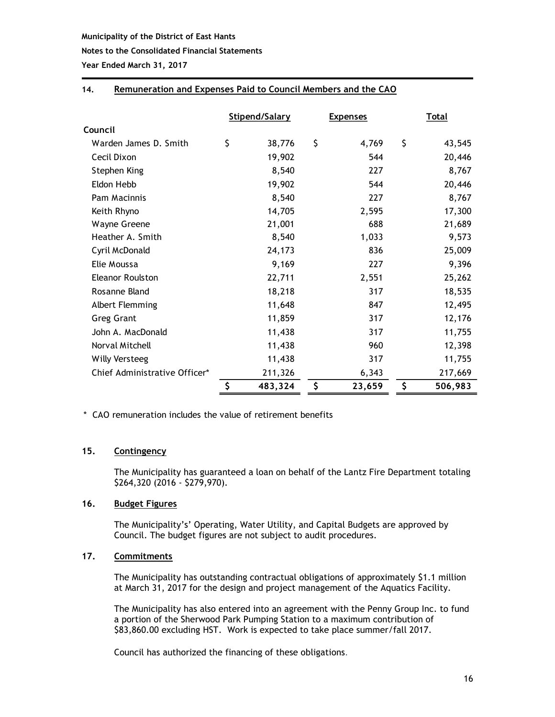#### **Notes to the Consolidated Financial Statements**

**Year Ended March 31, 2017**

#### **14. Remuneration and Expenses Paid to Council Members and the CAO**

|                               | Stipend/Salary |         | <b>Expenses</b> |        | <b>Total</b> |         |
|-------------------------------|----------------|---------|-----------------|--------|--------------|---------|
| Council                       |                |         |                 |        |              |         |
| Warden James D. Smith         | \$             | 38,776  | \$              | 4,769  | \$           | 43,545  |
| Cecil Dixon                   |                | 19,902  |                 | 544    |              | 20,446  |
| Stephen King                  |                | 8,540   |                 | 227    |              | 8,767   |
| Eldon Hebb                    |                | 19,902  |                 | 544    |              | 20,446  |
| Pam Macinnis                  |                | 8,540   |                 | 227    |              | 8,767   |
| Keith Rhyno                   |                | 14,705  |                 | 2,595  |              | 17,300  |
| Wayne Greene                  |                | 21,001  |                 | 688    |              | 21,689  |
| Heather A. Smith              |                | 8,540   |                 | 1,033  |              | 9,573   |
| Cyril McDonald                |                | 24,173  |                 | 836    |              | 25,009  |
| Elie Moussa                   |                | 9,169   |                 | 227    |              | 9,396   |
| <b>Eleanor Roulston</b>       |                | 22,711  |                 | 2,551  |              | 25,262  |
| Rosanne Bland                 |                | 18,218  |                 | 317    |              | 18,535  |
| Albert Flemming               |                | 11,648  |                 | 847    |              | 12,495  |
| <b>Greg Grant</b>             |                | 11,859  |                 | 317    |              | 12,176  |
| John A. MacDonald             |                | 11,438  |                 | 317    |              | 11,755  |
| Norval Mitchell               |                | 11,438  |                 | 960    |              | 12,398  |
| <b>Willy Versteeg</b>         |                | 11,438  |                 | 317    |              | 11,755  |
| Chief Administrative Officer* |                | 211,326 |                 | 6,343  |              | 217,669 |
|                               | \$             | 483,324 | \$              | 23,659 | \$           | 506,983 |

\* CAO remuneration includes the value of retirement benefits

#### **15. Contingency**

The Municipality has guaranteed a loan on behalf of the Lantz Fire Department totaling \$264,320 (2016 - \$279,970).

### **16. Budget Figures**

The Municipality's' Operating, Water Utility, and Capital Budgets are approved by Council. The budget figures are not subject to audit procedures.

#### **17. Commitments**

The Municipality has outstanding contractual obligations of approximately \$1.1 million at March 31, 2017 for the design and project management of the Aquatics Facility.

The Municipality has also entered into an agreement with the Penny Group Inc. to fund a portion of the Sherwood Park Pumping Station to a maximum contribution of \$83,860.00 excluding HST. Work is expected to take place summer/fall 2017.

Council has authorized the financing of these obligations.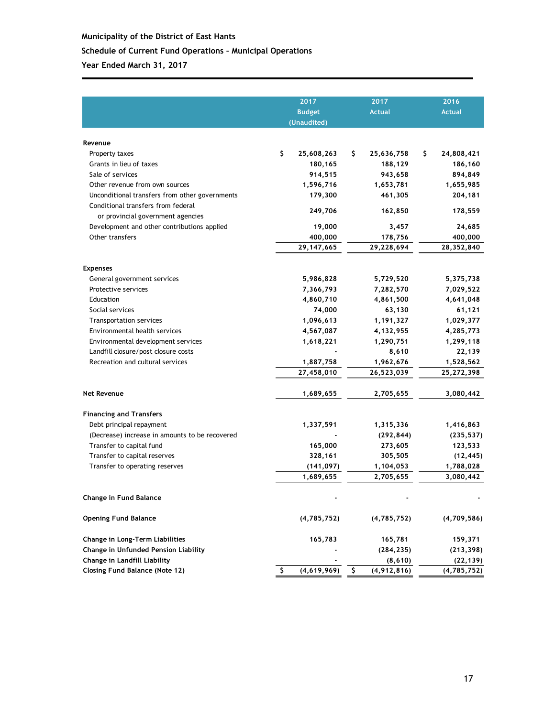# **Schedule of Current Fund Operations – Municipal Operations**

|                                                | 2017              | 2017              |     | 2016          |  |
|------------------------------------------------|-------------------|-------------------|-----|---------------|--|
|                                                | <b>Budget</b>     | <b>Actual</b>     |     | <b>Actual</b> |  |
|                                                | (Unaudited)       |                   |     |               |  |
|                                                |                   |                   |     |               |  |
| Revenue                                        |                   |                   |     |               |  |
| Property taxes                                 | \$<br>25,608,263  | \$<br>25,636,758  | \$. | 24,808,421    |  |
| Grants in lieu of taxes                        | 180,165           | 188,129           |     | 186,160       |  |
| Sale of services                               | 914,515           | 943,658           |     | 894,849       |  |
| Other revenue from own sources                 | 1,596,716         | 1,653,781         |     | 1,655,985     |  |
| Unconditional transfers from other governments | 179,300           | 461,305           |     | 204,181       |  |
| Conditional transfers from federal             | 249,706           |                   |     | 178,559       |  |
| or provincial government agencies              |                   | 162,850           |     |               |  |
| Development and other contributions applied    | 19,000            | 3,457             |     | 24,685        |  |
| Other transfers                                | 400,000           | 178,756           |     | 400,000       |  |
|                                                | 29, 147, 665      | 29,228,694        |     | 28,352,840    |  |
|                                                |                   |                   |     |               |  |
| <b>Expenses</b><br>General government services | 5,986,828         | 5,729,520         |     | 5,375,738     |  |
| Protective services                            | 7,366,793         | 7,282,570         |     | 7,029,522     |  |
| Education                                      | 4,860,710         | 4,861,500         |     | 4,641,048     |  |
| Social services                                | 74,000            | 63,130            |     | 61,121        |  |
| <b>Transportation services</b>                 | 1,096,613         | 1,191,327         |     | 1,029,377     |  |
| Environmental health services                  | 4,567,087         | 4,132,955         |     | 4,285,773     |  |
| Environmental development services             | 1,618,221         | 1,290,751         |     | 1,299,118     |  |
| Landfill closure/post closure costs            |                   | 8,610             |     | 22,139        |  |
| Recreation and cultural services               | 1,887,758         | 1,962,676         |     | 1,528,562     |  |
|                                                | 27,458,010        | 26,523,039        |     | 25,272,398    |  |
|                                                |                   |                   |     |               |  |
| <b>Net Revenue</b>                             | 1,689,655         | 2,705,655         |     | 3,080,442     |  |
| <b>Financing and Transfers</b>                 |                   |                   |     |               |  |
| Debt principal repayment                       | 1,337,591         | 1,315,336         |     | 1,416,863     |  |
| (Decrease) increase in amounts to be recovered |                   | (292, 844)        |     | (235, 537)    |  |
| Transfer to capital fund                       | 165,000           | 273,605           |     | 123,533       |  |
| Transfer to capital reserves                   | 328,161           | 305,505           |     | (12, 445)     |  |
| Transfer to operating reserves                 | (141, 097)        | 1,104,053         |     | 1,788,028     |  |
|                                                | 1,689,655         | 2,705,655         |     | 3,080,442     |  |
| Change in Fund Balance                         |                   |                   |     |               |  |
| <b>Opening Fund Balance</b>                    | (4, 785, 752)     | (4, 785, 752)     |     | (4,709,586)   |  |
|                                                |                   |                   |     |               |  |
| Change in Long-Term Liabilities                | 165,783           | 165,781           |     | 159,371       |  |
| Change in Unfunded Pension Liability           |                   | (284, 235)        |     | (213, 398)    |  |
| Change in Landfill Liability                   |                   | (8,610)           |     | (22, 139)     |  |
| <b>Closing Fund Balance (Note 12)</b>          | \$<br>(4,619,969) | \$<br>(4,912,816) |     | (4,785,752)   |  |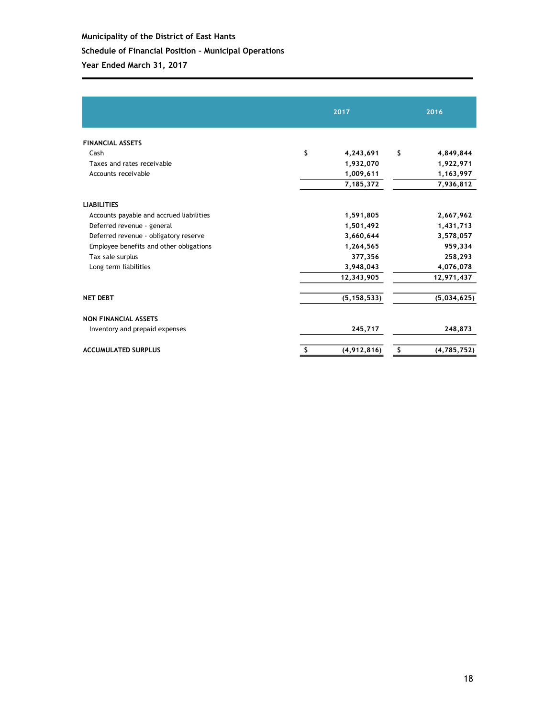# **Schedule of Financial Position – Municipal Operations**

|                                          | 2017                | 2016 |               |
|------------------------------------------|---------------------|------|---------------|
| <b>FINANCIAL ASSETS</b>                  |                     |      |               |
| Cash                                     | \$<br>4,243,691     | \$   | 4,849,844     |
| Taxes and rates receivable               | 1,932,070           |      | 1,922,971     |
| Accounts receivable                      | 1,009,611           |      | 1,163,997     |
|                                          | 7,185,372           |      | 7,936,812     |
| <b>LIABILITIES</b>                       |                     |      |               |
| Accounts payable and accrued liabilities | 1,591,805           |      | 2,667,962     |
| Deferred revenue - general               | 1,501,492           |      | 1,431,713     |
| Deferred revenue - obligatory reserve    | 3,660,644           |      | 3,578,057     |
| Employee benefits and other obligations  | 1,264,565           |      | 959,334       |
| Tax sale surplus                         | 377,356             |      | 258,293       |
| Long term liabilities                    | 3,948,043           |      | 4,076,078     |
|                                          | 12,343,905          |      | 12,971,437    |
| <b>NET DEBT</b>                          | (5, 158, 533)       |      | (5,034,625)   |
| <b>NON FINANCIAL ASSETS</b>              |                     |      |               |
| Inventory and prepaid expenses           | 245,717             |      | 248,873       |
| <b>ACCUMULATED SURPLUS</b>               | \$<br>(4, 912, 816) | \$   | (4, 785, 752) |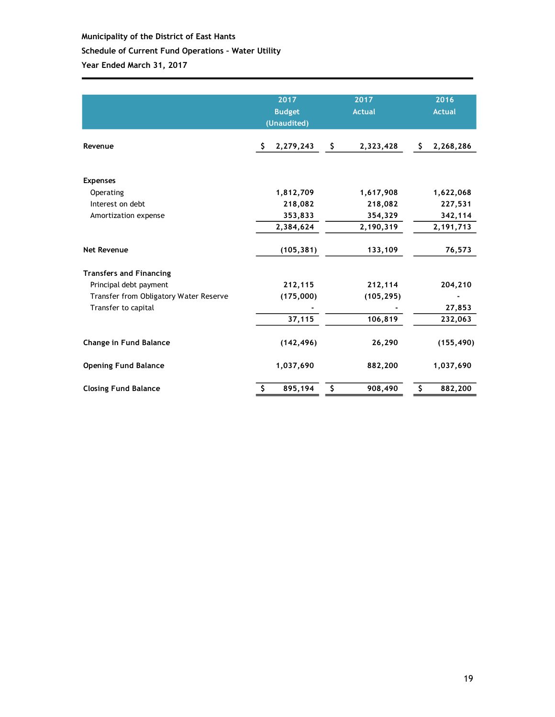# **Municipality of the District of East Hants Schedule of Current Fund Operations – Water Utility**

|                                        |    | 2017<br><b>Budget</b><br>(Unaudited) | 2017<br><b>Actual</b> |            |     | 2016<br><b>Actual</b> |  |
|----------------------------------------|----|--------------------------------------|-----------------------|------------|-----|-----------------------|--|
| Revenue                                | S. | 2,279,243                            | \$.                   | 2,323,428  | \$. | 2,268,286             |  |
| <b>Expenses</b>                        |    |                                      |                       |            |     |                       |  |
| Operating                              |    | 1,812,709                            |                       | 1,617,908  |     | 1,622,068             |  |
| Interest on debt                       |    | 218,082                              |                       | 218,082    |     | 227,531               |  |
| Amortization expense                   |    | 353,833<br>354,329                   |                       |            |     | 342,114               |  |
|                                        |    | 2,384,624                            |                       | 2,190,319  |     | 2,191,713             |  |
| <b>Net Revenue</b>                     |    | (105, 381)                           |                       | 133,109    |     | 76,573                |  |
| <b>Transfers and Financing</b>         |    |                                      |                       |            |     |                       |  |
| Principal debt payment                 |    | 212,115                              |                       | 212,114    |     | 204,210               |  |
| Transfer from Obligatory Water Reserve |    | (175,000)                            |                       | (105, 295) |     |                       |  |
| Transfer to capital                    |    |                                      |                       |            |     | 27,853                |  |
|                                        |    | 37,115                               |                       | 106,819    |     | 232,063               |  |
| <b>Change in Fund Balance</b>          |    | (142, 496)                           |                       | 26,290     |     | (155, 490)            |  |
| <b>Opening Fund Balance</b>            |    | 1,037,690                            |                       | 882,200    |     | 1,037,690             |  |
| <b>Closing Fund Balance</b>            | \$ | 895,194                              | \$                    | 908,490    | \$  | 882,200               |  |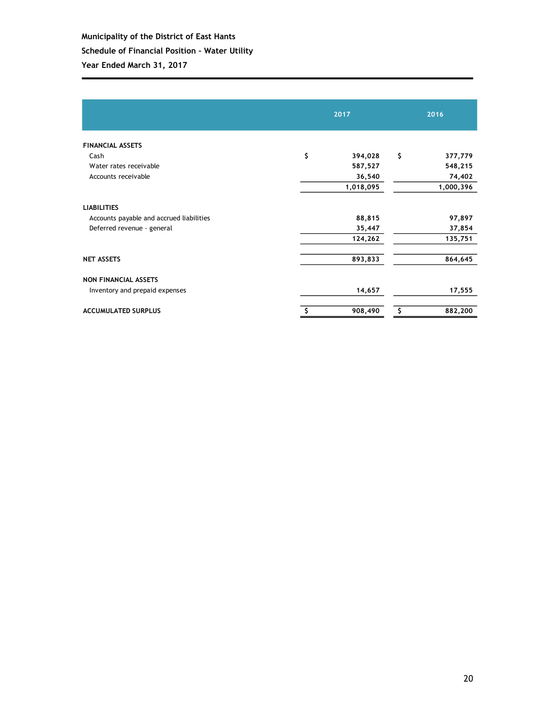# **Municipality of the District of East Hants Schedule of Financial Position – Water Utility Year Ended March 31, 2017**

|                                          | 2017          | 2016 |           |  |
|------------------------------------------|---------------|------|-----------|--|
| <b>FINANCIAL ASSETS</b>                  |               |      |           |  |
| Cash                                     | \$<br>394,028 | \$   | 377,779   |  |
| Water rates receivable                   | 587,527       |      | 548,215   |  |
| Accounts receivable                      | 36,540        |      | 74,402    |  |
|                                          | 1,018,095     |      | 1,000,396 |  |
| <b>LIABILITIES</b>                       |               |      |           |  |
| Accounts payable and accrued liabilities | 88,815        |      | 97,897    |  |
| Deferred revenue - general               | 35,447        |      | 37,854    |  |
|                                          | 124,262       |      | 135,751   |  |
| <b>NET ASSETS</b>                        | 893,833       |      | 864,645   |  |
| NON FINANCIAL ASSETS                     |               |      |           |  |
| Inventory and prepaid expenses           | 14,657        |      | 17,555    |  |
| <b>ACCUMULATED SURPLUS</b>               | \$<br>908,490 | \$   | 882,200   |  |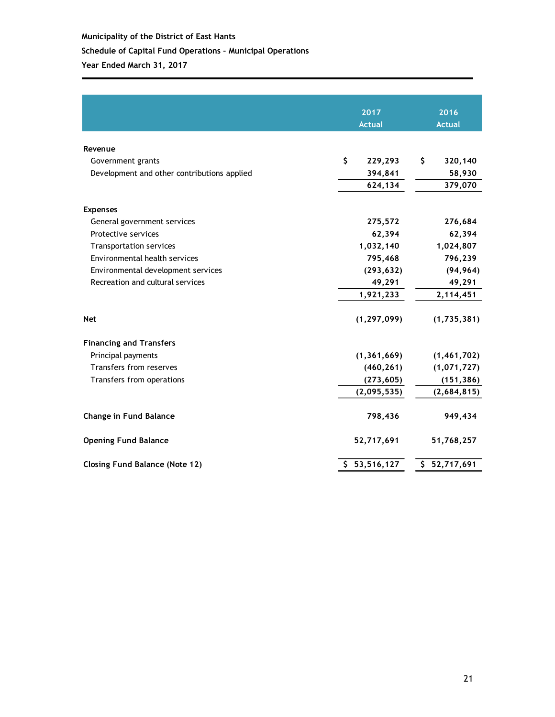# **Schedule of Capital Fund Operations – Municipal Operations**

|                                             | 2017          | 2016          |
|---------------------------------------------|---------------|---------------|
|                                             | <b>Actual</b> | <b>Actual</b> |
|                                             |               |               |
| Revenue                                     |               |               |
| Government grants                           | \$<br>229,293 | \$<br>320,140 |
| Development and other contributions applied | 394,841       | 58,930        |
|                                             | 624,134       | 379,070       |
| <b>Expenses</b>                             |               |               |
| General government services                 | 275,572       | 276,684       |
| Protective services                         | 62,394        | 62,394        |
| <b>Transportation services</b>              | 1,032,140     | 1,024,807     |
| Environmental health services               | 795,468       | 796,239       |
| Environmental development services          | (293, 632)    | (94, 964)     |
| Recreation and cultural services            | 49,291        | 49,291        |
|                                             | 1,921,233     | 2,114,451     |
| <b>Net</b>                                  | (1, 297, 099) | (1,735,381)   |
| <b>Financing and Transfers</b>              |               |               |
| Principal payments                          | (1, 361, 669) | (1, 461, 702) |
| Transfers from reserves                     | (460, 261)    | (1,071,727)   |
| Transfers from operations                   | (273, 605)    | (151, 386)    |
|                                             | (2,095,535)   | (2,684,815)   |
| <b>Change in Fund Balance</b>               | 798,436       | 949,434       |
| <b>Opening Fund Balance</b>                 | 52,717,691    | 51,768,257    |
| <b>Closing Fund Balance (Note 12)</b>       | \$53,516,127  | \$52,717,691  |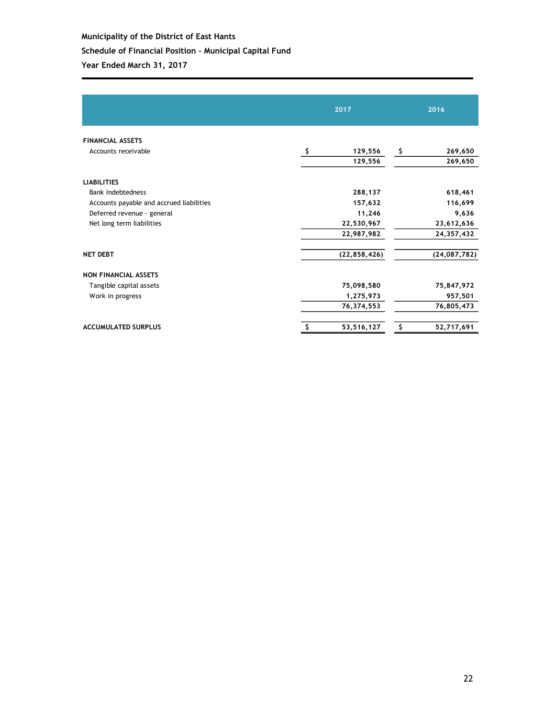# **Schedule of Financial Position – Municipal Capital Fund**

|                                          | 2017             | 2016 |              |  |
|------------------------------------------|------------------|------|--------------|--|
| <b>FINANCIAL ASSETS</b>                  |                  |      |              |  |
| Accounts receivable                      | \$<br>129,556    | \$   | 269,650      |  |
|                                          | 129,556          |      | 269,650      |  |
| <b>LIABILITIES</b>                       |                  |      |              |  |
| <b>Bank Indebtedness</b>                 | 288,137          |      | 618,461      |  |
| Accounts payable and accrued liabilities | 157,632          |      | 116,699      |  |
| Deferred revenue - general               | 11,246           |      | 9,636        |  |
| Net long term liabilities                | 22,530,967       |      | 23,612,636   |  |
|                                          | 22,987,982       |      | 24,357,432   |  |
| <b>NET DEBT</b>                          | (22, 858, 426)   |      | (24,087,782) |  |
| <b>NON FINANCIAL ASSETS</b>              |                  |      |              |  |
| Tangible capital assets                  | 75,098,580       |      | 75,847,972   |  |
| Work in progress                         | 1,275,973        |      | 957,501      |  |
|                                          | 76,374,553       |      | 76,805,473   |  |
| <b>ACCUMULATED SURPLUS</b>               | \$<br>53,516,127 | \$   | 52,717,691   |  |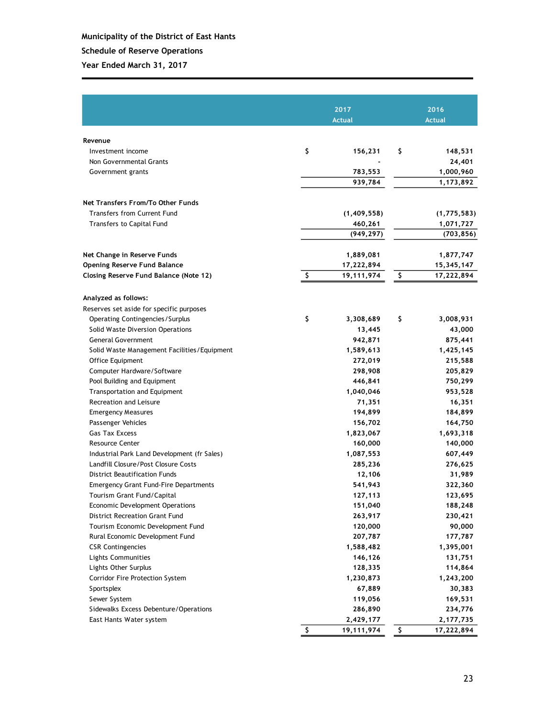# **Municipality of the District of East Hants Schedule of Reserve Operations**

|                                              | 2017               | 2016                   |
|----------------------------------------------|--------------------|------------------------|
|                                              | <b>Actual</b>      | <b>Actual</b>          |
|                                              |                    |                        |
| Revenue                                      |                    |                        |
| Investment income                            | \$<br>156,231      | \$<br>148,531          |
| Non Governmental Grants                      |                    | 24,401                 |
| Government grants                            | 783,553<br>939,784 | 1,000,960<br>1,173,892 |
|                                              |                    |                        |
| Net Transfers From/To Other Funds            |                    |                        |
| <b>Transfers from Current Fund</b>           | (1, 409, 558)      | (1,775,583)            |
| <b>Transfers to Capital Fund</b>             | 460,261            | 1,071,727              |
|                                              | (949, 297)         | (703, 856)             |
|                                              |                    |                        |
| Net Change in Reserve Funds                  | 1,889,081          | 1,877,747              |
| <b>Opening Reserve Fund Balance</b>          | 17,222,894         | 15,345,147             |
| Closing Reserve Fund Balance (Note 12)       | \$<br>19,111,974   | \$<br>17,222,894       |
|                                              |                    |                        |
| Analyzed as follows:                         |                    |                        |
| Reserves set aside for specific purposes     |                    |                        |
| <b>Operating Contingencies/Surplus</b>       | \$<br>3,308,689    | \$<br>3,008,931        |
| <b>Solid Waste Diversion Operations</b>      | 13,445             | 43,000                 |
| <b>General Government</b>                    | 942,871            | 875,441                |
| Solid Waste Management Facilities/Equipment  | 1,589,613          | 1,425,145              |
| Office Equipment                             | 272,019            | 215,588                |
| Computer Hardware/Software                   | 298,908            | 205,829                |
| Pool Building and Equipment                  | 446,841            | 750,299                |
| <b>Transportation and Equipment</b>          | 1,040,046          | 953,528                |
| Recreation and Leisure                       | 71,351             | 16,351                 |
| <b>Emergency Measures</b>                    | 194,899            | 184,899                |
| Passenger Vehicles                           | 156,702            | 164,750                |
| <b>Gas Tax Excess</b>                        | 1,823,067          | 1,693,318              |
| <b>Resource Center</b>                       | 160,000            | 140,000                |
| Industrial Park Land Development (fr Sales)  | 1,087,553          | 607,449                |
| Landfill Closure/Post Closure Costs          | 285,236            | 276,625                |
| <b>District Beautification Funds</b>         | 12,106             | 31,989                 |
| <b>Emergency Grant Fund-Fire Departments</b> | 541,943            | 322,360                |
| Tourism Grant Fund/Capital                   | 127,113            | 123,695                |
| Economic Development Operations              | 151,040            | 188,248                |
| <b>District Recreation Grant Fund</b>        | 263,917            | 230,421                |
| Tourism Economic Development Fund            | 120,000            | 90,000                 |
| Rural Economic Development Fund              | 207,787            | 177,787                |
| <b>CSR Contingencies</b>                     | 1,588,482          | 1,395,001              |
| <b>Lights Communities</b>                    | 146,126            | 131,751                |
| Lights Other Surplus                         | 128,335            | 114,864                |
| Corridor Fire Protection System              | 1,230,873          | 1,243,200              |
| Sportsplex                                   | 67,889             | 30,383                 |
| Sewer System                                 | 119,056            | 169,531                |
| Sidewalks Excess Debenture/Operations        | 286,890            | 234,776                |
| East Hants Water system                      | 2,429,177          | 2,177,735              |
|                                              | \$<br>19,111,974   | \$<br>17,222,894       |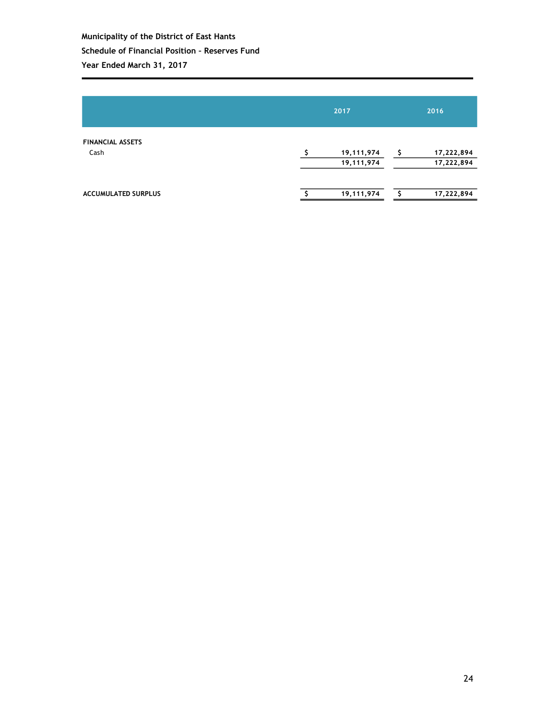# **Municipality of the District of East Hants Schedule of Financial Position – Reserves Fund Year Ended March 31, 2017**

|                                 | 2017                     | 2016                     |  |  |
|---------------------------------|--------------------------|--------------------------|--|--|
| <b>FINANCIAL ASSETS</b><br>Cash | 19,111,974<br>19,111,974 | 17,222,894<br>17,222,894 |  |  |
| <b>ACCUMULATED SURPLUS</b>      | 19,111,974               | 17,222,894               |  |  |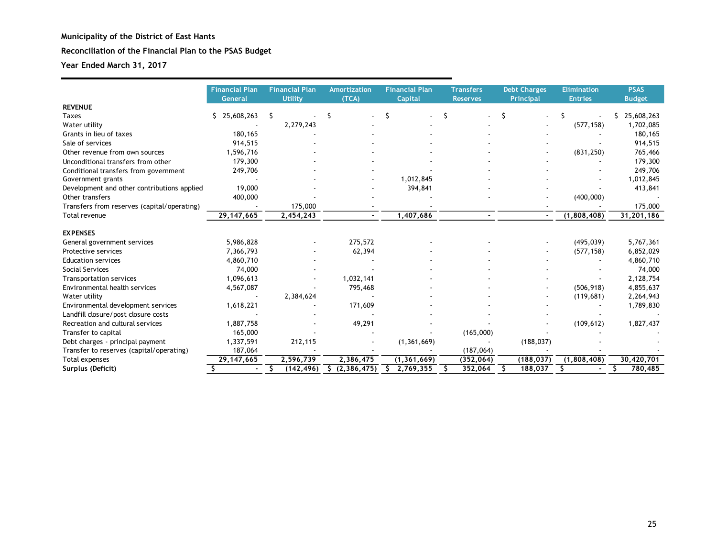#### **Reconciliation of the Financial Plan to the PSAS Budget**

|                                             | <b>Financial Plan</b><br><b>General</b> | <b>Financial Plan</b><br><b>Utility</b> | Amortization<br>(TCA) | <b>Financial Plan</b><br><b>Capital</b> | <b>Transfers</b><br><b>Reserves</b> | <b>Debt Charges</b><br><b>Principal</b> | <b>Elimination</b><br><b>Entries</b> | <b>PSAS</b><br><b>Budget</b> |
|---------------------------------------------|-----------------------------------------|-----------------------------------------|-----------------------|-----------------------------------------|-------------------------------------|-----------------------------------------|--------------------------------------|------------------------------|
| <b>REVENUE</b>                              |                                         |                                         |                       |                                         |                                     |                                         |                                      |                              |
| Taxes                                       | \$25,608,263                            | S.                                      | S                     | \$                                      | S                                   | S                                       |                                      | 25,608,263<br>S.             |
| Water utility                               |                                         | 2,279,243                               |                       |                                         |                                     |                                         | (577, 158)                           | 1,702,085                    |
| Grants in lieu of taxes                     | 180,165                                 |                                         |                       |                                         |                                     |                                         |                                      | 180,165                      |
| Sale of services                            | 914,515                                 |                                         |                       |                                         |                                     |                                         |                                      | 914,515                      |
| Other revenue from own sources              | 1,596,716                               |                                         |                       |                                         |                                     |                                         | (831, 250)                           | 765,466                      |
| Unconditional transfers from other          | 179,300                                 |                                         |                       |                                         |                                     |                                         |                                      | 179,300                      |
| Conditional transfers from government       | 249,706                                 |                                         |                       |                                         |                                     |                                         |                                      | 249,706                      |
| Government grants                           |                                         |                                         |                       | 1,012,845                               |                                     |                                         |                                      | 1,012,845                    |
| Development and other contributions applied | 19,000                                  |                                         |                       | 394,841                                 |                                     |                                         |                                      | 413,841                      |
| Other transfers                             | 400,000                                 |                                         |                       |                                         |                                     |                                         | (400,000)                            |                              |
| Transfers from reserves (capital/operating) |                                         | 175,000                                 |                       |                                         |                                     |                                         |                                      | 175,000                      |
| Total revenue                               | 29, 147, 665                            | 2,454,243                               |                       | 1,407,686                               |                                     | $\sim$                                  | (1,808,408)                          | 31,201,186                   |
| <b>EXPENSES</b>                             |                                         |                                         |                       |                                         |                                     |                                         |                                      |                              |
| General government services                 | 5,986,828                               |                                         | 275,572               |                                         |                                     |                                         | (495, 039)                           | 5,767,361                    |
| Protective services                         | 7,366,793                               |                                         | 62,394                |                                         |                                     |                                         | (577, 158)                           | 6,852,029                    |
| <b>Education services</b>                   | 4,860,710                               |                                         |                       |                                         |                                     |                                         |                                      | 4,860,710                    |
| Social Services                             | 74,000                                  |                                         |                       |                                         |                                     |                                         |                                      | 74,000                       |
| <b>Transportation services</b>              | 1,096,613                               |                                         | 1,032,141             |                                         |                                     |                                         |                                      | 2,128,754                    |
| Environmental health services               | 4,567,087                               |                                         | 795,468               |                                         |                                     |                                         | (506, 918)                           | 4,855,637                    |
| Water utility                               |                                         | 2,384,624                               |                       |                                         |                                     |                                         | (119, 681)                           | 2,264,943                    |
| Environmental development services          | 1,618,221                               |                                         | 171,609               |                                         |                                     |                                         |                                      | 1,789,830                    |
| Landfill closure/post closure costs         |                                         |                                         |                       |                                         |                                     |                                         |                                      |                              |
| Recreation and cultural services            | 1,887,758                               |                                         | 49,291                |                                         |                                     |                                         | (109, 612)                           | 1,827,437                    |
| Transfer to capital                         | 165,000                                 |                                         |                       |                                         | (165,000)                           |                                         |                                      |                              |
| Debt charges - principal payment            | 1,337,591                               | 212,115                                 |                       | (1, 361, 669)                           |                                     | (188, 037)                              |                                      |                              |
| Transfer to reserves (capital/operating)    | 187,064                                 |                                         |                       |                                         | (187,064)                           |                                         |                                      |                              |
| Total expenses                              | 29, 147, 665                            | 2,596,739                               | 2,386,475             | (1, 361, 669)                           | (352, 064)                          | (188, 037)                              | (1,808,408)                          | 30,420,701                   |
| Surplus (Deficit)                           |                                         | (142, 496)                              | \$(2,386,475)         | 2,769,355                               | 352,064                             | 188,037                                 |                                      | \$<br>780,485                |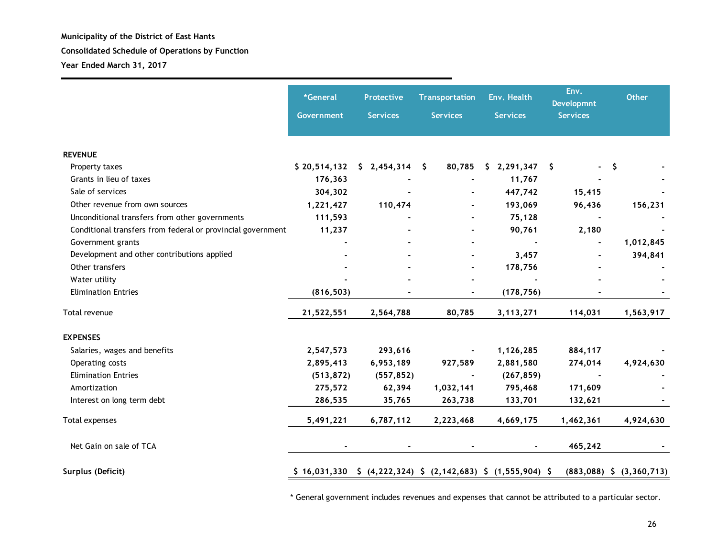**Municipality of the District of East Hants Consolidated Schedule of Operations by Function**

**Year Ended March 31, 2017**

|                                                             | *General<br>Government | <b>Protective</b><br><b>Services</b> | <b>Transportation</b><br><b>Services</b>                                                    | Env. Health<br><b>Services</b> | Env.<br><b>Developmnt</b><br><b>Services</b> | <b>Other</b>                 |
|-------------------------------------------------------------|------------------------|--------------------------------------|---------------------------------------------------------------------------------------------|--------------------------------|----------------------------------------------|------------------------------|
|                                                             |                        |                                      |                                                                                             |                                |                                              |                              |
| <b>REVENUE</b>                                              |                        |                                      |                                                                                             |                                |                                              |                              |
| Property taxes                                              | \$20,514,132           | $$2,454,314$ $$$                     | 80,785                                                                                      | $$2,291,347$ \$                |                                              | $\zeta$                      |
| Grants in lieu of taxes                                     | 176,363                |                                      |                                                                                             | 11,767                         |                                              |                              |
| Sale of services                                            | 304,302                |                                      |                                                                                             | 447,742                        | 15,415                                       |                              |
| Other revenue from own sources                              | 1,221,427              | 110,474                              |                                                                                             | 193,069                        | 96,436                                       | 156,231                      |
| Unconditional transfers from other governments              | 111,593                |                                      |                                                                                             | 75,128                         |                                              |                              |
| Conditional transfers from federal or provincial government | 11,237                 |                                      |                                                                                             | 90,761                         | 2,180                                        |                              |
| Government grants                                           |                        |                                      |                                                                                             |                                |                                              | 1,012,845                    |
| Development and other contributions applied                 |                        |                                      |                                                                                             | 3,457                          |                                              | 394,841                      |
| Other transfers                                             |                        |                                      |                                                                                             | 178,756                        |                                              |                              |
| Water utility                                               |                        |                                      |                                                                                             |                                |                                              |                              |
| <b>Elimination Entries</b>                                  | (816, 503)             |                                      |                                                                                             | (178, 756)                     |                                              |                              |
| Total revenue                                               | 21,522,551             | 2,564,788                            | 80,785                                                                                      | 3,113,271                      | 114,031                                      | 1,563,917                    |
| <b>EXPENSES</b>                                             |                        |                                      |                                                                                             |                                |                                              |                              |
| Salaries, wages and benefits                                | 2,547,573              | 293,616                              | $\overline{\phantom{a}}$                                                                    | 1,126,285                      | 884,117                                      |                              |
| Operating costs                                             | 2,895,413              | 6,953,189                            | 927,589                                                                                     | 2,881,580                      | 274,014                                      | 4,924,630                    |
| <b>Elimination Entries</b>                                  | (513, 872)             | (557, 852)                           |                                                                                             | (267, 859)                     |                                              |                              |
| Amortization                                                | 275,572                | 62,394                               | 1,032,141                                                                                   | 795,468                        | 171,609                                      |                              |
| Interest on long term debt                                  | 286,535                | 35,765                               | 263,738                                                                                     | 133,701                        | 132,621                                      |                              |
| Total expenses                                              | 5,491,221              | 6,787,112                            | 2,223,468                                                                                   | 4,669,175                      | 1,462,361                                    | 4,924,630                    |
| Net Gain on sale of TCA                                     |                        |                                      |                                                                                             |                                | 465,242                                      |                              |
| Surplus (Deficit)                                           | \$16,031,330           |                                      | $\frac{1}{2}$ (4,222,324) $\frac{1}{2}$ (2,142,683) $\frac{1}{2}$ (1,555,904) $\frac{1}{2}$ |                                |                                              | $(883,088)$ \$ $(3,360,713)$ |

\* General government includes revenues and expenses that cannot be attributed to a particular sector.